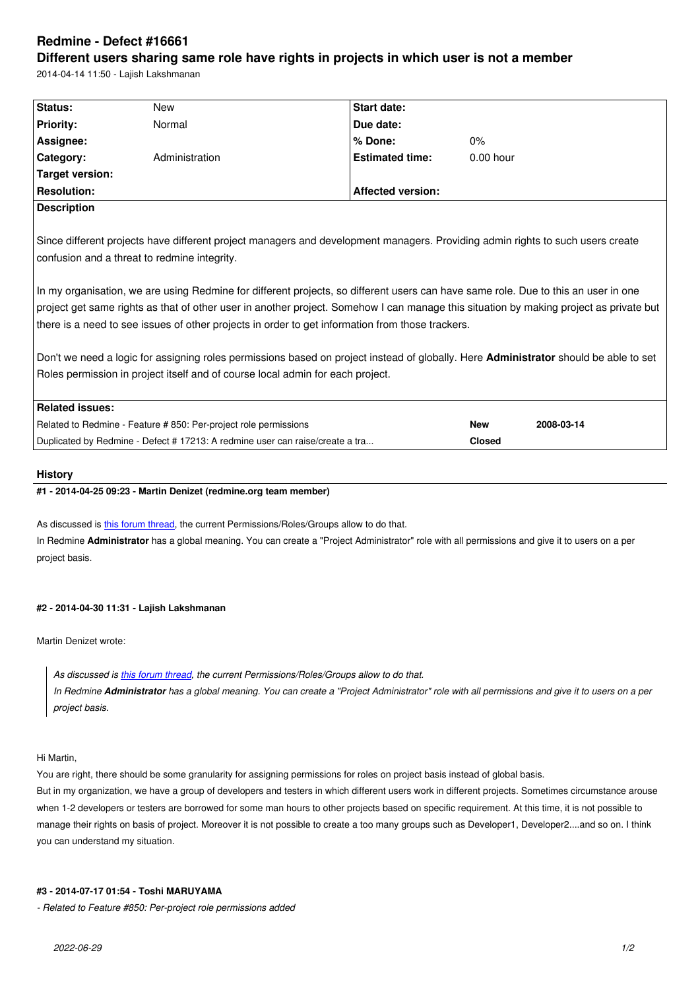#### **Different users sharing same role have rights in projects in which user is not a member**

2014-04-14 11:50 - Lajish Lakshmanan

| Status:                | <b>New</b>                                                                                                                             | Start date:              |             |            |  |
|------------------------|----------------------------------------------------------------------------------------------------------------------------------------|--------------------------|-------------|------------|--|
| <b>Priority:</b>       | Normal                                                                                                                                 | Due date:                |             |            |  |
| Assignee:              |                                                                                                                                        | % Done:                  | 0%          |            |  |
| Category:              | Administration                                                                                                                         | <b>Estimated time:</b>   | $0.00$ hour |            |  |
| <b>Target version:</b> |                                                                                                                                        |                          |             |            |  |
| <b>Resolution:</b>     |                                                                                                                                        | <b>Affected version:</b> |             |            |  |
| <b>Description</b>     |                                                                                                                                        |                          |             |            |  |
|                        |                                                                                                                                        |                          |             |            |  |
|                        | Since different projects have different project managers and development managers. Providing admin rights to such users create         |                          |             |            |  |
|                        |                                                                                                                                        |                          |             |            |  |
|                        | confusion and a threat to redmine integrity.                                                                                           |                          |             |            |  |
|                        |                                                                                                                                        |                          |             |            |  |
|                        | In my organisation, we are using Redmine for different projects, so different users can have same role. Due to this an user in one     |                          |             |            |  |
|                        | project get same rights as that of other user in another project. Somehow I can manage this situation by making project as private but |                          |             |            |  |
|                        | there is a need to see issues of other projects in order to get information from those trackers.                                       |                          |             |            |  |
|                        |                                                                                                                                        |                          |             |            |  |
|                        | Don't we need a logic for assigning roles permissions based on project instead of globally. Here Administrator should be able to set   |                          |             |            |  |
|                        | Roles permission in project itself and of course local admin for each project.                                                         |                          |             |            |  |
|                        |                                                                                                                                        |                          |             |            |  |
| <b>Related issues:</b> |                                                                                                                                        |                          |             |            |  |
|                        | Related to Redmine - Feature #850: Per-project role permissions                                                                        |                          | <b>New</b>  | 2008-03-14 |  |

#### **History**

## **#1 - 2014-04-25 09:23 - Martin Denizet (redmine.org team member)**

As discussed is this forum thread, the current Permissions/Roles/Groups allow to do that.

In Redmine **Administrator** has a global meaning. You can create a "Project Administrator" role with all permissions and give it to users on a per project basis.

# **#2 - 2014-04-30 11:31 - Lajish Lakshmanan**

Martin Denizet wrote:

*As discussed is this forum thread, the current Permissions/Roles/Groups allow to do that. In Redmine Administrator has a global meaning. You can create a "Project Administrator" role with all permissions and give it to users on a per project basis.*

#### Hi Martin,

You are right, there should be some granularity for assigning permissions for roles on project basis instead of global basis. But in my organization, we have a group of developers and testers in which different users work in different projects. Sometimes circumstance arouse when 1-2 developers or testers are borrowed for some man hours to other projects based on specific requirement. At this time, it is not possible to manage their rights on basis of project. Moreover it is not possible to create a too many groups such as Developer1, Developer2....and so on. I think you can understand my situation.

## **#3 - 2014-07-17 01:54 - Toshi MARUYAMA**

*- Related to Feature #850: Per-project role permissions added*